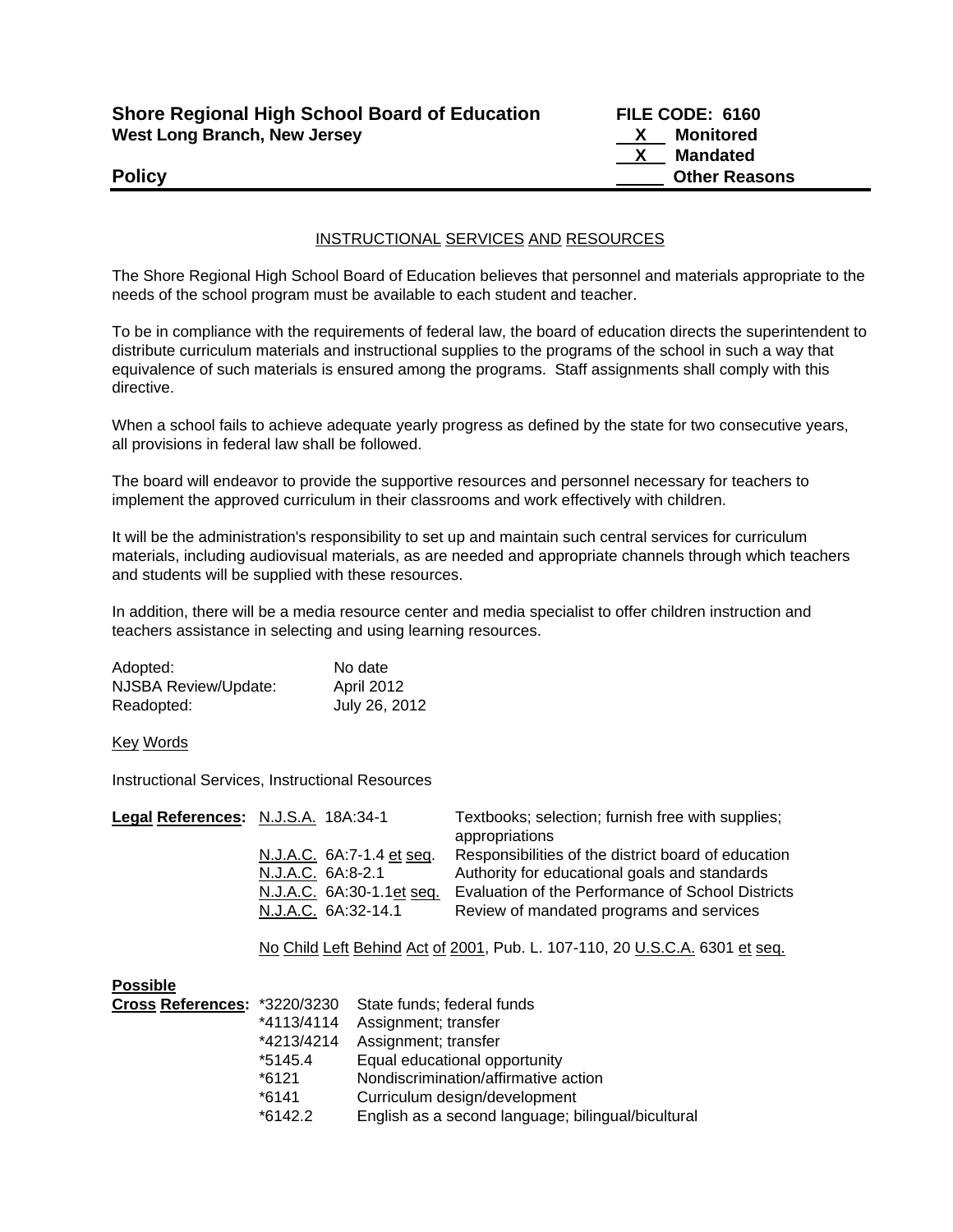| <b>Shore Regional High School Board of Education</b> |  |
|------------------------------------------------------|--|
| West Long Branch, New Jersey                         |  |

**FILE CODE: 6160 X** Monitored  **X Mandated Policy Other Reasons** 

## INSTRUCTIONAL SERVICES AND RESOURCES

The Shore Regional High School Board of Education believes that personnel and materials appropriate to the needs of the school program must be available to each student and teacher.

To be in compliance with the requirements of federal law, the board of education directs the superintendent to distribute curriculum materials and instructional supplies to the programs of the school in such a way that equivalence of such materials is ensured among the programs. Staff assignments shall comply with this directive.

When a school fails to achieve adequate yearly progress as defined by the state for two consecutive years, all provisions in federal law shall be followed.

The board will endeavor to provide the supportive resources and personnel necessary for teachers to implement the approved curriculum in their classrooms and work effectively with children.

It will be the administration's responsibility to set up and maintain such central services for curriculum materials, including audiovisual materials, as are needed and appropriate channels through which teachers and students will be supplied with these resources.

In addition, there will be a media resource center and media specialist to offer children instruction and teachers assistance in selecting and using learning resources.

| Adopted:                    | No date       |
|-----------------------------|---------------|
| <b>NJSBA Review/Update:</b> | April 2012    |
| Readopted:                  | July 26, 2012 |

Key Words

Instructional Services, Instructional Resources

| Legal References: N.J.S.A. 18A:34-1 |                                                                             |                               | Textbooks; selection; furnish free with supplies;<br>appropriations                                                                                       |  |
|-------------------------------------|-----------------------------------------------------------------------------|-------------------------------|-----------------------------------------------------------------------------------------------------------------------------------------------------------|--|
|                                     | N.J.A.C. 6A:7-1.4 et seq.<br>N.J.A.C. 6A:8-2.1                              | N.J.A.C. 6A:30-1.1et seq.     | Responsibilities of the district board of education<br>Authority for educational goals and standards<br>Evaluation of the Performance of School Districts |  |
|                                     | N.J.A.C. 6A:32-14.1                                                         |                               | Review of mandated programs and services                                                                                                                  |  |
|                                     | No Child Left Behind Act of 2001, Pub. L. 107-110, 20 U.S.C.A. 6301 et seq. |                               |                                                                                                                                                           |  |
| <b>Possible</b>                     |                                                                             |                               |                                                                                                                                                           |  |
| Cross References: *3220/3230        |                                                                             | State funds; federal funds    |                                                                                                                                                           |  |
|                                     | *4113/4114                                                                  | Assignment; transfer          |                                                                                                                                                           |  |
|                                     | *4213/4214                                                                  | Assignment; transfer          |                                                                                                                                                           |  |
|                                     | *5145.4                                                                     | Equal educational opportunity |                                                                                                                                                           |  |

 \*6121 Nondiscrimination/affirmative action \*6141 Curriculum design/development

\*6142.2 English as a second language; bilingual/bicultural